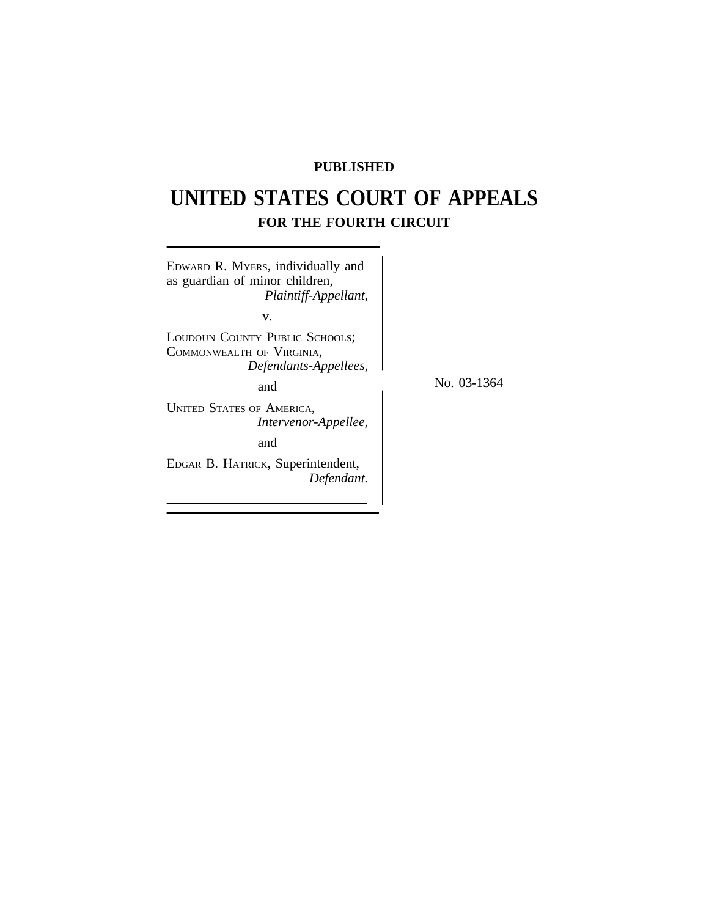# **PUBLISHED**

# **UNITED STATES COURT OF APPEALS FOR THE FOURTH CIRCUIT**

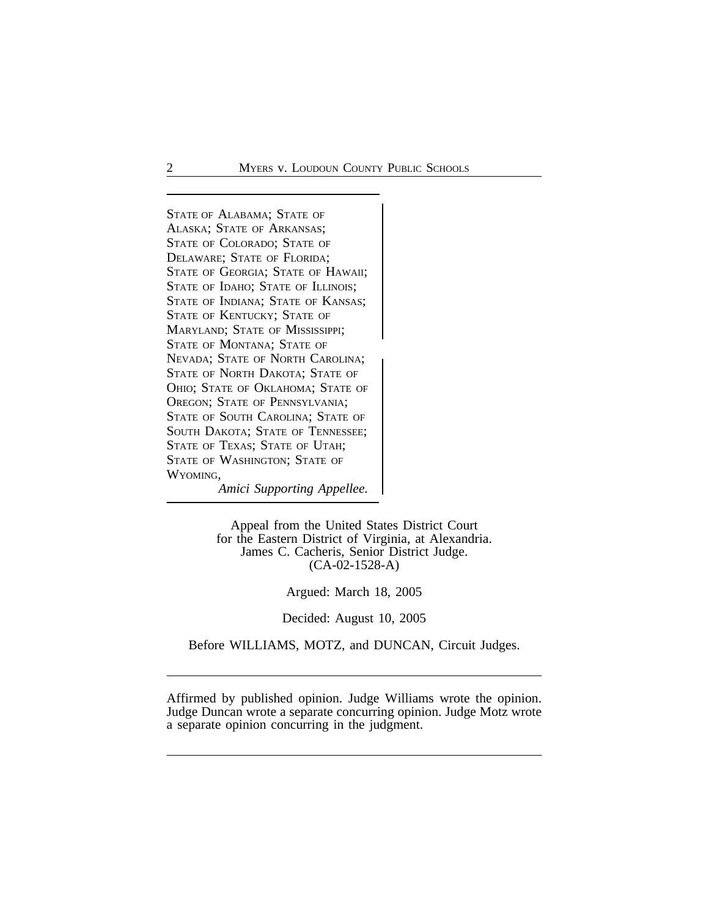<sup>S</sup>TATE OF ALABAMA; STATE OF ALASKA; STATE OF ARKANSAS; STATE OF COLORADO; STATE OF DELAWARE; STATE OF FLORIDA; STATE OF GEORGIA; STATE OF HAWAII; STATE OF IDAHO; STATE OF ILLINOIS; STATE OF INDIANA; STATE OF KANSAS; STATE OF KENTUCKY; STATE OF MARYLAND; STATE OF MISSISSIPPI; STATE OF MONTANA; STATE OF <sup>N</sup>EVADA; STATE OF NORTH CAROLINA; STATE OF NORTH DAKOTA; STATE OF OHIO; STATE OF OKLAHOMA; STATE OF OREGON; STATE OF PENNSYLVANIA; STATE OF SOUTH CAROLINA; STATE OF SOUTH DAKOTA; STATE OF TENNESSEE; STATE OF TEXAS; STATE OF UTAH; STATE OF WASHINGTON; STATE OF WYOMING,

*Amici Supporting Appellee.*

Appeal from the United States District Court for the Eastern District of Virginia, at Alexandria. James C. Cacheris, Senior District Judge. (CA-02-1528-A)

Argued: March 18, 2005

# Decided: August 10, 2005

Before WILLIAMS, MOTZ, and DUNCAN, Circuit Judges.

Affirmed by published opinion. Judge Williams wrote the opinion. Judge Duncan wrote a separate concurring opinion. Judge Motz wrote a separate opinion concurring in the judgment.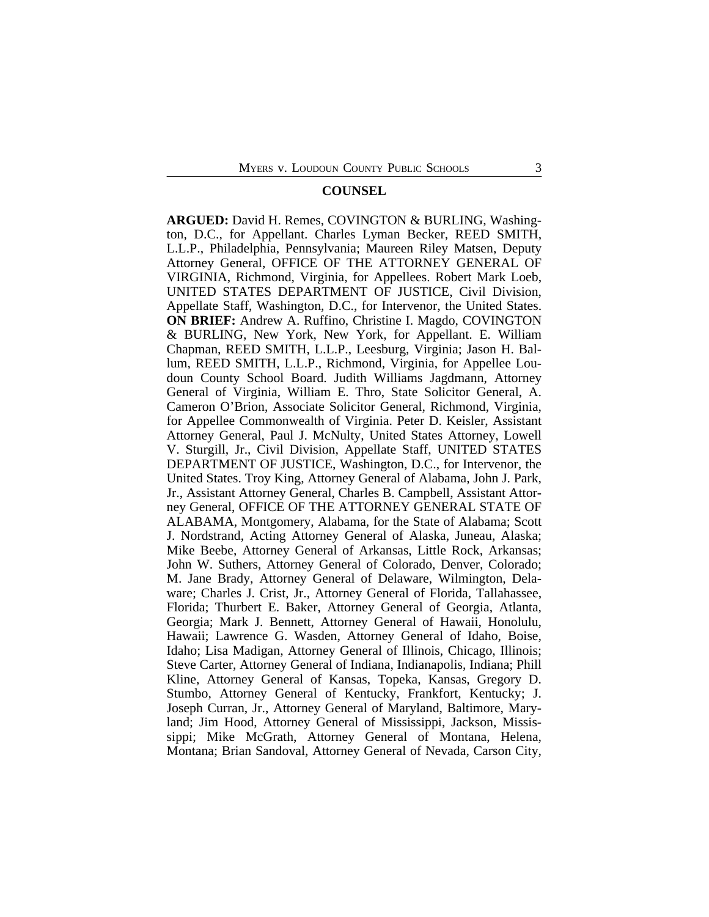# **COUNSEL**

**ARGUED:** David H. Remes, COVINGTON & BURLING, Washington, D.C., for Appellant. Charles Lyman Becker, REED SMITH, L.L.P., Philadelphia, Pennsylvania; Maureen Riley Matsen, Deputy Attorney General, OFFICE OF THE ATTORNEY GENERAL OF VIRGINIA, Richmond, Virginia, for Appellees. Robert Mark Loeb, UNITED STATES DEPARTMENT OF JUSTICE, Civil Division, Appellate Staff, Washington, D.C., for Intervenor, the United States. **ON BRIEF:** Andrew A. Ruffino, Christine I. Magdo, COVINGTON & BURLING, New York, New York, for Appellant. E. William Chapman, REED SMITH, L.L.P., Leesburg, Virginia; Jason H. Ballum, REED SMITH, L.L.P., Richmond, Virginia, for Appellee Loudoun County School Board. Judith Williams Jagdmann, Attorney General of Virginia, William E. Thro, State Solicitor General, A. Cameron O'Brion, Associate Solicitor General, Richmond, Virginia, for Appellee Commonwealth of Virginia. Peter D. Keisler, Assistant Attorney General, Paul J. McNulty, United States Attorney, Lowell V. Sturgill, Jr., Civil Division, Appellate Staff, UNITED STATES DEPARTMENT OF JUSTICE, Washington, D.C., for Intervenor, the United States. Troy King, Attorney General of Alabama, John J. Park, Jr., Assistant Attorney General, Charles B. Campbell, Assistant Attorney General, OFFICE OF THE ATTORNEY GENERAL STATE OF ALABAMA, Montgomery, Alabama, for the State of Alabama; Scott J. Nordstrand, Acting Attorney General of Alaska, Juneau, Alaska; Mike Beebe, Attorney General of Arkansas, Little Rock, Arkansas; John W. Suthers, Attorney General of Colorado, Denver, Colorado; M. Jane Brady, Attorney General of Delaware, Wilmington, Delaware; Charles J. Crist, Jr., Attorney General of Florida, Tallahassee, Florida; Thurbert E. Baker, Attorney General of Georgia, Atlanta, Georgia; Mark J. Bennett, Attorney General of Hawaii, Honolulu, Hawaii; Lawrence G. Wasden, Attorney General of Idaho, Boise, Idaho; Lisa Madigan, Attorney General of Illinois, Chicago, Illinois; Steve Carter, Attorney General of Indiana, Indianapolis, Indiana; Phill Kline, Attorney General of Kansas, Topeka, Kansas, Gregory D. Stumbo, Attorney General of Kentucky, Frankfort, Kentucky; J. Joseph Curran, Jr., Attorney General of Maryland, Baltimore, Maryland; Jim Hood, Attorney General of Mississippi, Jackson, Mississippi; Mike McGrath, Attorney General of Montana, Helena, Montana; Brian Sandoval, Attorney General of Nevada, Carson City,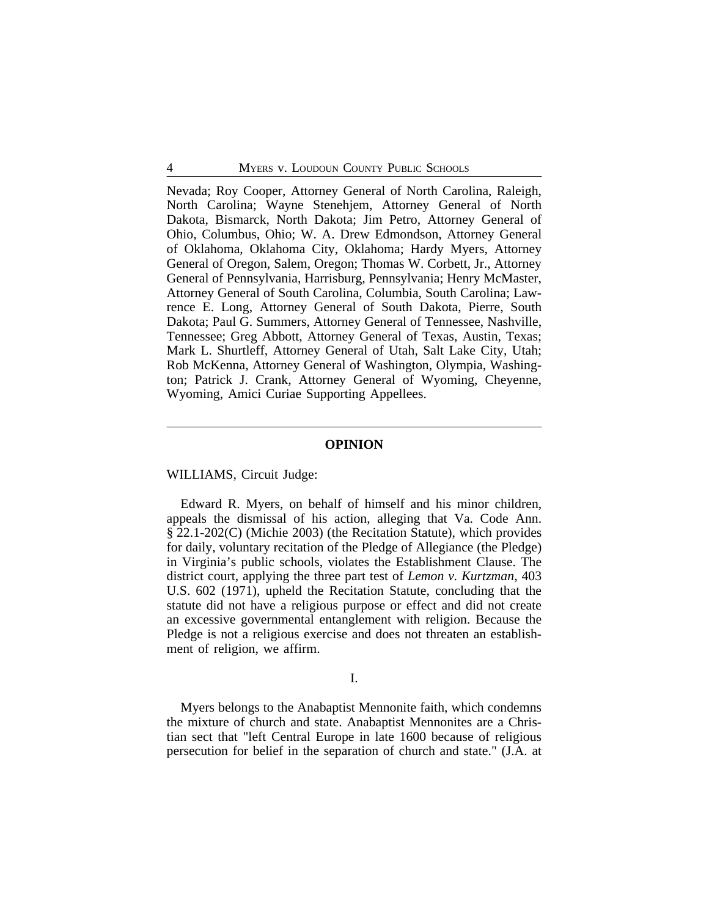Nevada; Roy Cooper, Attorney General of North Carolina, Raleigh, North Carolina; Wayne Stenehjem, Attorney General of North Dakota, Bismarck, North Dakota; Jim Petro, Attorney General of Ohio, Columbus, Ohio; W. A. Drew Edmondson, Attorney General of Oklahoma, Oklahoma City, Oklahoma; Hardy Myers, Attorney General of Oregon, Salem, Oregon; Thomas W. Corbett, Jr., Attorney General of Pennsylvania, Harrisburg, Pennsylvania; Henry McMaster, Attorney General of South Carolina, Columbia, South Carolina; Lawrence E. Long, Attorney General of South Dakota, Pierre, South Dakota; Paul G. Summers, Attorney General of Tennessee, Nashville, Tennessee; Greg Abbott, Attorney General of Texas, Austin, Texas; Mark L. Shurtleff, Attorney General of Utah, Salt Lake City, Utah; Rob McKenna, Attorney General of Washington, Olympia, Washington; Patrick J. Crank, Attorney General of Wyoming, Cheyenne, Wyoming, Amici Curiae Supporting Appellees.

# **OPINION**

# WILLIAMS, Circuit Judge:

Edward R. Myers, on behalf of himself and his minor children, appeals the dismissal of his action, alleging that Va. Code Ann. § 22.1-202(C) (Michie 2003) (the Recitation Statute), which provides for daily, voluntary recitation of the Pledge of Allegiance (the Pledge) in Virginia's public schools, violates the Establishment Clause. The district court, applying the three part test of *Lemon v. Kurtzman*, 403 U.S. 602 (1971), upheld the Recitation Statute, concluding that the statute did not have a religious purpose or effect and did not create an excessive governmental entanglement with religion. Because the Pledge is not a religious exercise and does not threaten an establishment of religion, we affirm.

#### I.

Myers belongs to the Anabaptist Mennonite faith, which condemns the mixture of church and state. Anabaptist Mennonites are a Christian sect that "left Central Europe in late 1600 because of religious persecution for belief in the separation of church and state." (J.A. at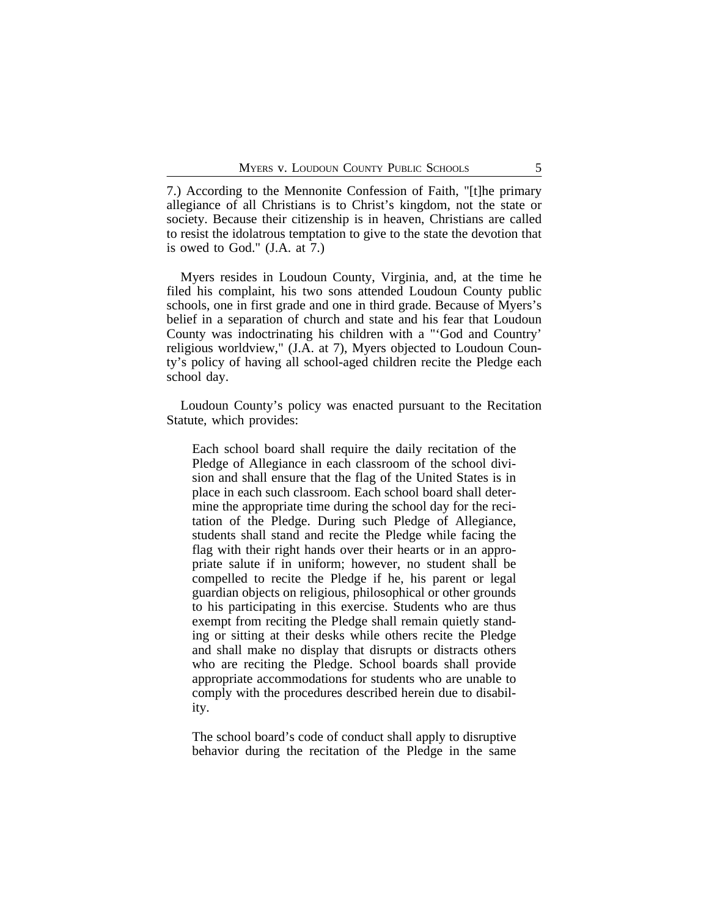7.) According to the Mennonite Confession of Faith, "[t]he primary allegiance of all Christians is to Christ's kingdom, not the state or society. Because their citizenship is in heaven, Christians are called to resist the idolatrous temptation to give to the state the devotion that is owed to God." (J.A. at 7.)

Myers resides in Loudoun County, Virginia, and, at the time he filed his complaint, his two sons attended Loudoun County public schools, one in first grade and one in third grade. Because of Myers's belief in a separation of church and state and his fear that Loudoun County was indoctrinating his children with a "'God and Country' religious worldview," (J.A. at 7), Myers objected to Loudoun County's policy of having all school-aged children recite the Pledge each school day.

Loudoun County's policy was enacted pursuant to the Recitation Statute, which provides:

Each school board shall require the daily recitation of the Pledge of Allegiance in each classroom of the school division and shall ensure that the flag of the United States is in place in each such classroom. Each school board shall determine the appropriate time during the school day for the recitation of the Pledge. During such Pledge of Allegiance, students shall stand and recite the Pledge while facing the flag with their right hands over their hearts or in an appropriate salute if in uniform; however, no student shall be compelled to recite the Pledge if he, his parent or legal guardian objects on religious, philosophical or other grounds to his participating in this exercise. Students who are thus exempt from reciting the Pledge shall remain quietly standing or sitting at their desks while others recite the Pledge and shall make no display that disrupts or distracts others who are reciting the Pledge. School boards shall provide appropriate accommodations for students who are unable to comply with the procedures described herein due to disability.

The school board's code of conduct shall apply to disruptive behavior during the recitation of the Pledge in the same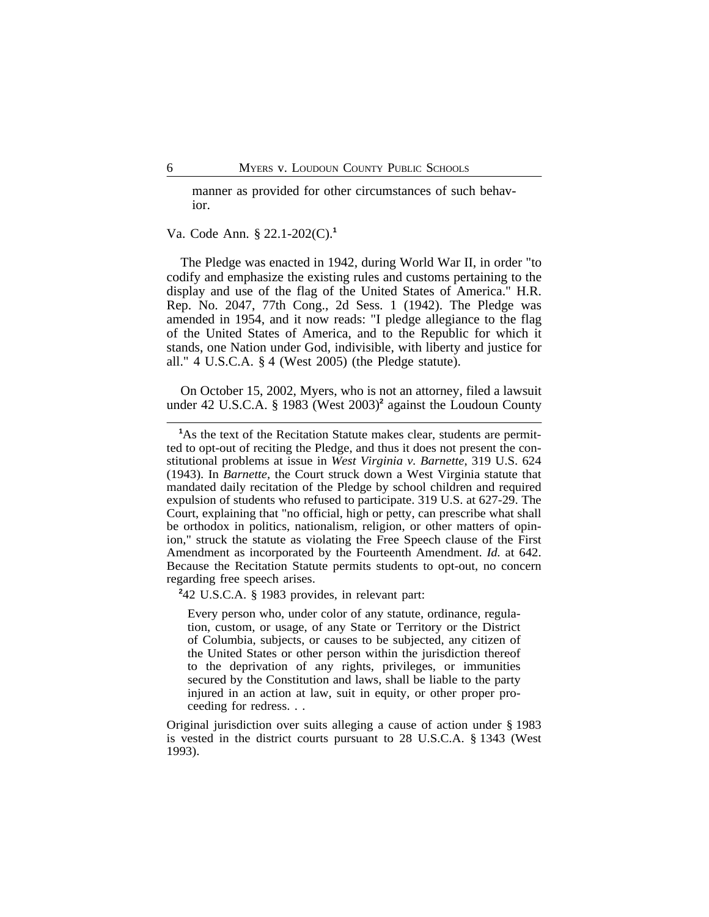manner as provided for other circumstances of such behavior.

Va. Code Ann. § 22.1-202(C).**<sup>1</sup>**

The Pledge was enacted in 1942, during World War II, in order "to codify and emphasize the existing rules and customs pertaining to the display and use of the flag of the United States of America." H.R. Rep. No. 2047, 77th Cong., 2d Sess. 1 (1942). The Pledge was amended in 1954, and it now reads: "I pledge allegiance to the flag of the United States of America, and to the Republic for which it stands, one Nation under God, indivisible, with liberty and justice for all." 4 U.S.C.A. § 4 (West 2005) (the Pledge statute).

On October 15, 2002, Myers, who is not an attorney, filed a lawsuit under 42 U.S.C.A. § 1983 (West 2003)**<sup>2</sup>** against the Loudoun County

**2** 42 U.S.C.A. § 1983 provides, in relevant part:

Every person who, under color of any statute, ordinance, regulation, custom, or usage, of any State or Territory or the District of Columbia, subjects, or causes to be subjected, any citizen of the United States or other person within the jurisdiction thereof to the deprivation of any rights, privileges, or immunities secured by the Constitution and laws, shall be liable to the party injured in an action at law, suit in equity, or other proper proceeding for redress. . .

Original jurisdiction over suits alleging a cause of action under § 1983 is vested in the district courts pursuant to 28 U.S.C.A. § 1343 (West 1993).

<sup>&</sup>lt;sup>1</sup>As the text of the Recitation Statute makes clear, students are permitted to opt-out of reciting the Pledge, and thus it does not present the constitutional problems at issue in *West Virginia v. Barnette*, 319 U.S. 624 (1943). In *Barnette*, the Court struck down a West Virginia statute that mandated daily recitation of the Pledge by school children and required expulsion of students who refused to participate. 319 U.S. at 627-29. The Court, explaining that "no official, high or petty, can prescribe what shall be orthodox in politics, nationalism, religion, or other matters of opinion," struck the statute as violating the Free Speech clause of the First Amendment as incorporated by the Fourteenth Amendment. *Id.* at 642. Because the Recitation Statute permits students to opt-out, no concern regarding free speech arises.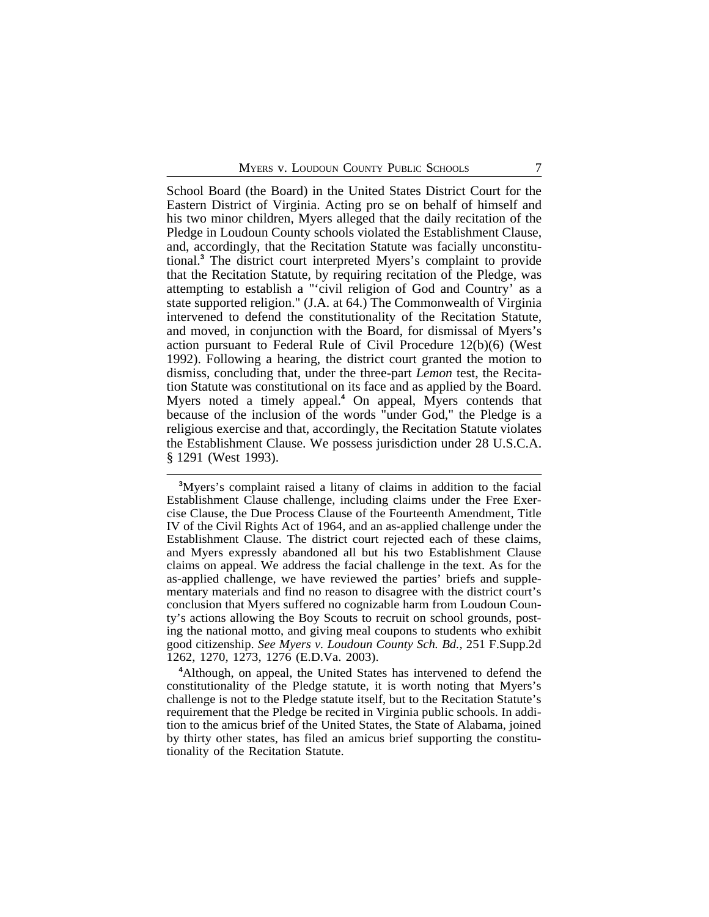School Board (the Board) in the United States District Court for the Eastern District of Virginia. Acting pro se on behalf of himself and his two minor children, Myers alleged that the daily recitation of the Pledge in Loudoun County schools violated the Establishment Clause, and, accordingly, that the Recitation Statute was facially unconstitutional.**<sup>3</sup>** The district court interpreted Myers's complaint to provide that the Recitation Statute, by requiring recitation of the Pledge, was attempting to establish a "'civil religion of God and Country' as a state supported religion." (J.A. at 64.) The Commonwealth of Virginia intervened to defend the constitutionality of the Recitation Statute, and moved, in conjunction with the Board, for dismissal of Myers's action pursuant to Federal Rule of Civil Procedure 12(b)(6) (West 1992). Following a hearing, the district court granted the motion to dismiss, concluding that, under the three-part *Lemon* test, the Recitation Statute was constitutional on its face and as applied by the Board. Myers noted a timely appeal.**<sup>4</sup>** On appeal, Myers contends that because of the inclusion of the words "under God," the Pledge is a religious exercise and that, accordingly, the Recitation Statute violates the Establishment Clause. We possess jurisdiction under 28 U.S.C.A. § 1291 (West 1993).

**<sup>4</sup>**Although, on appeal, the United States has intervened to defend the constitutionality of the Pledge statute, it is worth noting that Myers's challenge is not to the Pledge statute itself, but to the Recitation Statute's requirement that the Pledge be recited in Virginia public schools. In addition to the amicus brief of the United States, the State of Alabama, joined by thirty other states, has filed an amicus brief supporting the constitutionality of the Recitation Statute.

**<sup>3</sup>**Myers's complaint raised a litany of claims in addition to the facial Establishment Clause challenge, including claims under the Free Exercise Clause, the Due Process Clause of the Fourteenth Amendment, Title IV of the Civil Rights Act of 1964, and an as-applied challenge under the Establishment Clause. The district court rejected each of these claims, and Myers expressly abandoned all but his two Establishment Clause claims on appeal. We address the facial challenge in the text. As for the as-applied challenge, we have reviewed the parties' briefs and supplementary materials and find no reason to disagree with the district court's conclusion that Myers suffered no cognizable harm from Loudoun County's actions allowing the Boy Scouts to recruit on school grounds, posting the national motto, and giving meal coupons to students who exhibit good citizenship. *See Myers v. Loudoun County Sch. Bd.*, 251 F.Supp.2d 1262, 1270, 1273, 1276 (E.D.Va. 2003).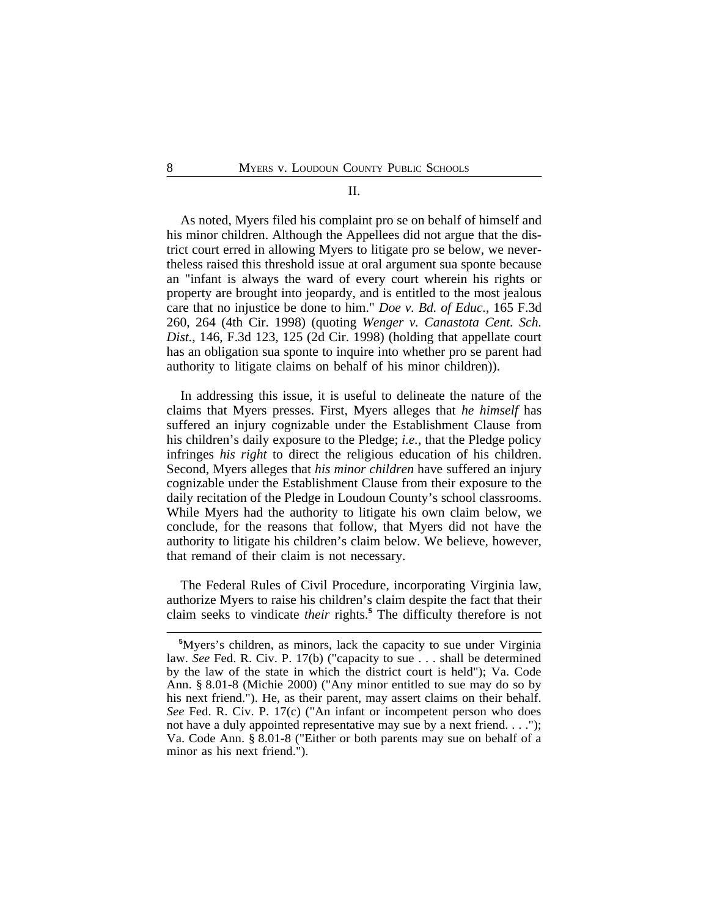# II.

As noted, Myers filed his complaint pro se on behalf of himself and his minor children. Although the Appellees did not argue that the district court erred in allowing Myers to litigate pro se below, we nevertheless raised this threshold issue at oral argument sua sponte because an "infant is always the ward of every court wherein his rights or property are brought into jeopardy, and is entitled to the most jealous care that no injustice be done to him." *Doe v. Bd. of Educ.*, 165 F.3d 260, 264 (4th Cir. 1998) (quoting *Wenger v. Canastota Cent. Sch. Dist.*, 146, F.3d 123, 125 (2d Cir. 1998) (holding that appellate court has an obligation sua sponte to inquire into whether pro se parent had authority to litigate claims on behalf of his minor children)).

In addressing this issue, it is useful to delineate the nature of the claims that Myers presses. First, Myers alleges that *he himself* has suffered an injury cognizable under the Establishment Clause from his children's daily exposure to the Pledge; *i.e.*, that the Pledge policy infringes *his right* to direct the religious education of his children. Second, Myers alleges that *his minor children* have suffered an injury cognizable under the Establishment Clause from their exposure to the daily recitation of the Pledge in Loudoun County's school classrooms. While Myers had the authority to litigate his own claim below, we conclude, for the reasons that follow, that Myers did not have the authority to litigate his children's claim below. We believe, however, that remand of their claim is not necessary.

The Federal Rules of Civil Procedure, incorporating Virginia law, authorize Myers to raise his children's claim despite the fact that their claim seeks to vindicate *their* rights.**<sup>5</sup>** The difficulty therefore is not

**<sup>5</sup>**Myers's children, as minors, lack the capacity to sue under Virginia law. *See* Fed. R. Civ. P. 17(b) ("capacity to sue . . . shall be determined by the law of the state in which the district court is held"); Va. Code Ann. § 8.01-8 (Michie 2000) ("Any minor entitled to sue may do so by his next friend."). He, as their parent, may assert claims on their behalf. *See* Fed. R. Civ. P. 17(c) ("An infant or incompetent person who does not have a duly appointed representative may sue by a next friend. . . ."); Va. Code Ann. § 8.01-8 ("Either or both parents may sue on behalf of a minor as his next friend.").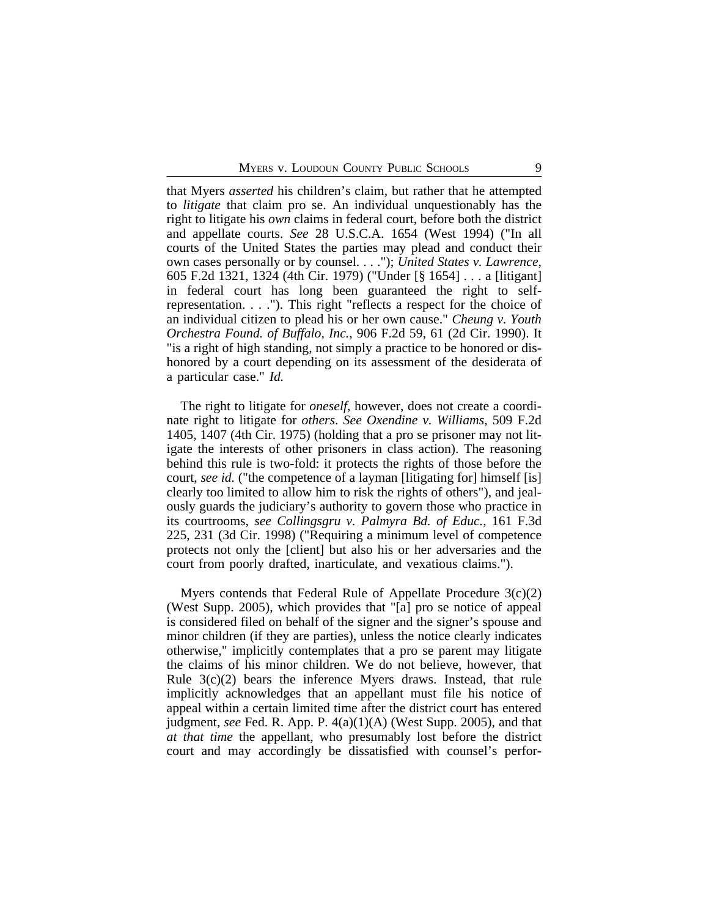that Myers *asserted* his children's claim, but rather that he attempted to *litigate* that claim pro se. An individual unquestionably has the right to litigate his *own* claims in federal court, before both the district and appellate courts. *See* 28 U.S.C.A. 1654 (West 1994) ("In all courts of the United States the parties may plead and conduct their own cases personally or by counsel. . . ."); *United States v. Lawrence*, 605 F.2d 1321, 1324 (4th Cir. 1979) ("Under [§ 1654] . . . a [litigant] in federal court has long been guaranteed the right to selfrepresentation. . . ."). This right "reflects a respect for the choice of an individual citizen to plead his or her own cause." *Cheung v. Youth Orchestra Found. of Buffalo, Inc.*, 906 F.2d 59, 61 (2d Cir. 1990). It "is a right of high standing, not simply a practice to be honored or dishonored by a court depending on its assessment of the desiderata of a particular case." *Id.*

The right to litigate for *oneself*, however, does not create a coordinate right to litigate for *others*. *See Oxendine v. Williams*, 509 F.2d 1405, 1407 (4th Cir. 1975) (holding that a pro se prisoner may not litigate the interests of other prisoners in class action). The reasoning behind this rule is two-fold: it protects the rights of those before the court, *see id.* ("the competence of a layman [litigating for] himself [is] clearly too limited to allow him to risk the rights of others"), and jealously guards the judiciary's authority to govern those who practice in its courtrooms, *see Collingsgru v. Palmyra Bd. of Educ.*, 161 F.3d 225, 231 (3d Cir. 1998) ("Requiring a minimum level of competence protects not only the [client] but also his or her adversaries and the court from poorly drafted, inarticulate, and vexatious claims.").

Myers contends that Federal Rule of Appellate Procedure 3(c)(2) (West Supp. 2005), which provides that "[a] pro se notice of appeal is considered filed on behalf of the signer and the signer's spouse and minor children (if they are parties), unless the notice clearly indicates otherwise," implicitly contemplates that a pro se parent may litigate the claims of his minor children. We do not believe, however, that Rule  $3(c)(2)$  bears the inference Myers draws. Instead, that rule implicitly acknowledges that an appellant must file his notice of appeal within a certain limited time after the district court has entered judgment, *see* Fed. R. App. P. 4(a)(1)(A) (West Supp. 2005), and that *at that time* the appellant, who presumably lost before the district court and may accordingly be dissatisfied with counsel's perfor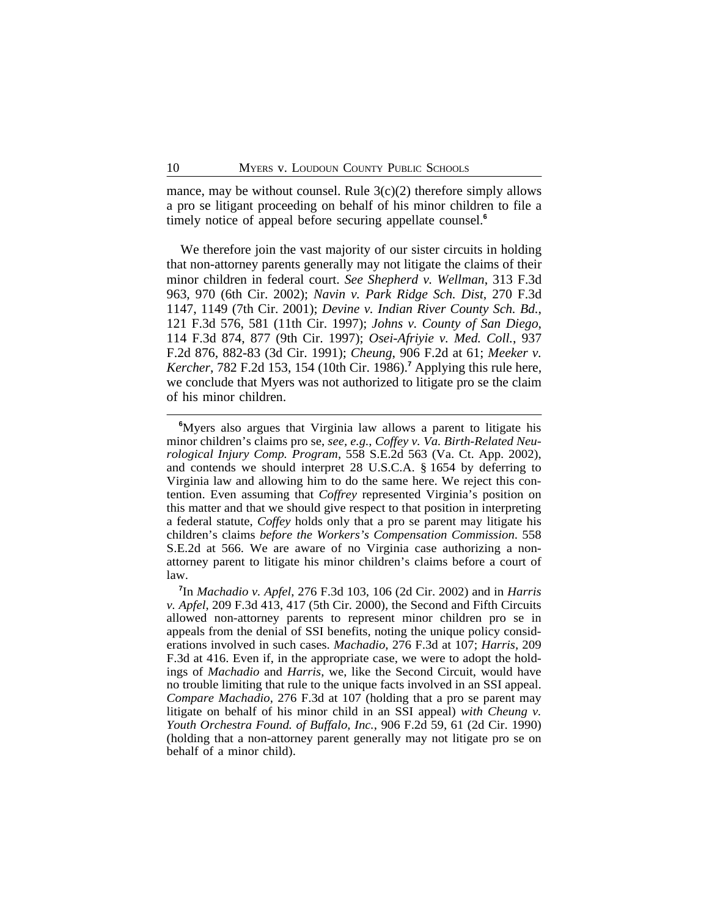mance, may be without counsel. Rule  $3(c)(2)$  therefore simply allows a pro se litigant proceeding on behalf of his minor children to file a timely notice of appeal before securing appellate counsel.**<sup>6</sup>**

We therefore join the vast majority of our sister circuits in holding that non-attorney parents generally may not litigate the claims of their minor children in federal court. *See Shepherd v. Wellman*, 313 F.3d 963, 970 (6th Cir. 2002); *Navin v. Park Ridge Sch. Dist*, 270 F.3d 1147, 1149 (7th Cir. 2001); *Devine v. Indian River County Sch. Bd.*, 121 F.3d 576, 581 (11th Cir. 1997); *Johns v. County of San Diego*, 114 F.3d 874, 877 (9th Cir. 1997); *Osei-Afriyie v. Med. Coll.*, 937 F.2d 876, 882-83 (3d Cir. 1991); *Cheung*, 906 F.2d at 61; *Meeker v. Kercher*, 782 F.2d 153, 154 (10th Cir. 1986).**<sup>7</sup>** Applying this rule here, we conclude that Myers was not authorized to litigate pro se the claim of his minor children.

**<sup>6</sup>**Myers also argues that Virginia law allows a parent to litigate his minor children's claims pro se, *see, e.g.*, *Coffey v. Va. Birth-Related Neurological Injury Comp. Program*, 558 S.E.2d 563 (Va. Ct. App. 2002), and contends we should interpret 28 U.S.C.A. § 1654 by deferring to Virginia law and allowing him to do the same here. We reject this contention. Even assuming that *Coffrey* represented Virginia's position on this matter and that we should give respect to that position in interpreting a federal statute, *Coffey* holds only that a pro se parent may litigate his children's claims *before the Workers's Compensation Commission*. 558 S.E.2d at 566. We are aware of no Virginia case authorizing a nonattorney parent to litigate his minor children's claims before a court of law.

**<sup>7</sup>** In *Machadio v. Apfel*, 276 F.3d 103, 106 (2d Cir. 2002) and in *Harris v. Apfel*, 209 F.3d 413, 417 (5th Cir. 2000), the Second and Fifth Circuits allowed non-attorney parents to represent minor children pro se in appeals from the denial of SSI benefits, noting the unique policy considerations involved in such cases. *Machadio*, 276 F.3d at 107; *Harris*, 209 F.3d at 416. Even if, in the appropriate case, we were to adopt the holdings of *Machadio* and *Harris*, we, like the Second Circuit, would have no trouble limiting that rule to the unique facts involved in an SSI appeal. *Compare Machadio*, 276 F.3d at 107 (holding that a pro se parent may litigate on behalf of his minor child in an SSI appeal) *with Cheung v. Youth Orchestra Found. of Buffalo, Inc.*, 906 F.2d 59, 61 (2d Cir. 1990) (holding that a non-attorney parent generally may not litigate pro se on behalf of a minor child).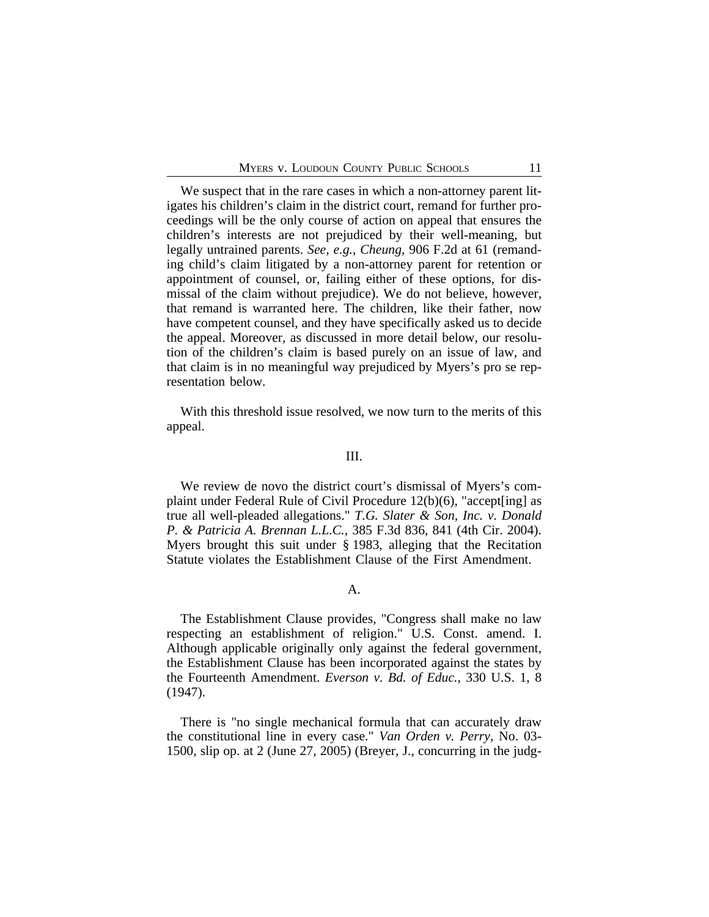We suspect that in the rare cases in which a non-attorney parent litigates his children's claim in the district court, remand for further proceedings will be the only course of action on appeal that ensures the children's interests are not prejudiced by their well-meaning, but legally untrained parents. *See, e.g.*, *Cheung*, 906 F.2d at 61 (remanding child's claim litigated by a non-attorney parent for retention or appointment of counsel, or, failing either of these options, for dismissal of the claim without prejudice). We do not believe, however, that remand is warranted here. The children, like their father, now have competent counsel, and they have specifically asked us to decide the appeal. Moreover, as discussed in more detail below, our resolution of the children's claim is based purely on an issue of law, and that claim is in no meaningful way prejudiced by Myers's pro se representation below.

With this threshold issue resolved, we now turn to the merits of this appeal.

#### III.

We review de novo the district court's dismissal of Myers's complaint under Federal Rule of Civil Procedure 12(b)(6), "accept[ing] as true all well-pleaded allegations." *T.G. Slater & Son, Inc. v. Donald P. & Patricia A. Brennan L.L.C.*, 385 F.3d 836, 841 (4th Cir. 2004). Myers brought this suit under § 1983, alleging that the Recitation Statute violates the Establishment Clause of the First Amendment.

# A.

The Establishment Clause provides, "Congress shall make no law respecting an establishment of religion." U.S. Const. amend. I. Although applicable originally only against the federal government, the Establishment Clause has been incorporated against the states by the Fourteenth Amendment. *Everson v. Bd. of Educ.*, 330 U.S. 1, 8 (1947).

There is "no single mechanical formula that can accurately draw the constitutional line in every case." *Van Orden v. Perry*, No. 03- 1500, slip op. at 2 (June 27, 2005) (Breyer, J., concurring in the judg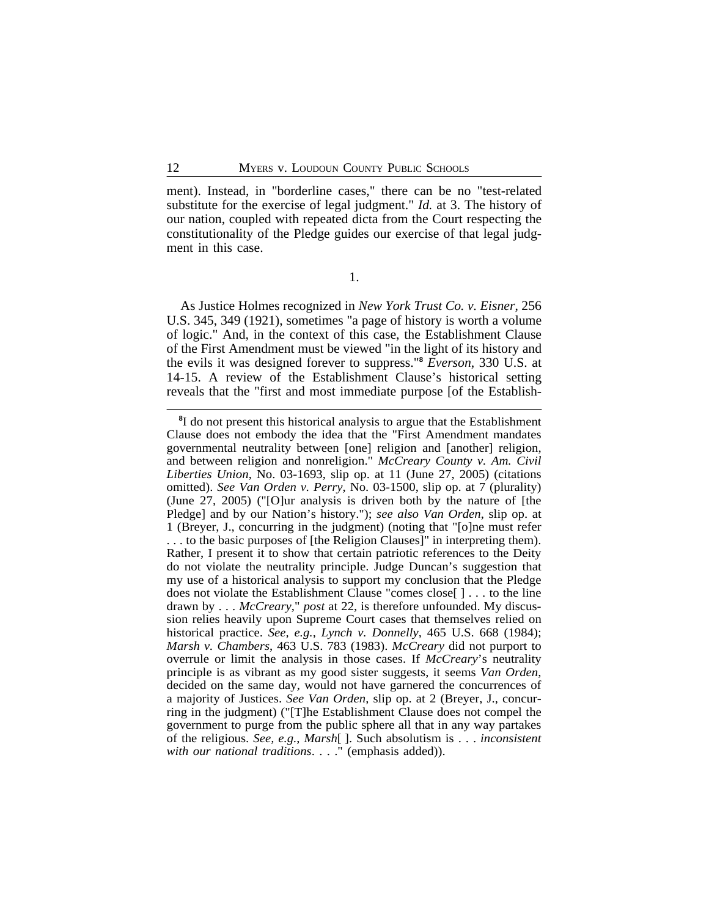ment). Instead, in "borderline cases," there can be no "test-related substitute for the exercise of legal judgment." *Id.* at 3. The history of our nation, coupled with repeated dicta from the Court respecting the constitutionality of the Pledge guides our exercise of that legal judgment in this case.

1.

As Justice Holmes recognized in *New York Trust Co. v. Eisner*, 256 U.S. 345, 349 (1921), sometimes "a page of history is worth a volume of logic." And, in the context of this case, the Establishment Clause of the First Amendment must be viewed "in the light of its history and the evils it was designed forever to suppress."**<sup>8</sup>** *Everson*, 330 U.S. at 14-15. A review of the Establishment Clause's historical setting reveals that the "first and most immediate purpose [of the Establish-

**<sup>8</sup>** I do not present this historical analysis to argue that the Establishment Clause does not embody the idea that the "First Amendment mandates governmental neutrality between [one] religion and [another] religion, and between religion and nonreligion." *McCreary County v. Am. Civil Liberties Union*, No. 03-1693, slip op. at 11 (June 27, 2005) (citations omitted). *See Van Orden v. Perry*, No. 03-1500, slip op. at 7 (plurality) (June 27, 2005) ("[O]ur analysis is driven both by the nature of [the Pledge] and by our Nation's history."); *see also Van Orden*, slip op. at 1 (Breyer, J., concurring in the judgment) (noting that "[o]ne must refer . . . to the basic purposes of [the Religion Clauses]" in interpreting them). Rather, I present it to show that certain patriotic references to the Deity do not violate the neutrality principle. Judge Duncan's suggestion that my use of a historical analysis to support my conclusion that the Pledge does not violate the Establishment Clause "comes close[ ] . . . to the line drawn by . . . *McCreary*," *post* at 22, is therefore unfounded. My discussion relies heavily upon Supreme Court cases that themselves relied on historical practice. *See, e.g.*, *Lynch v. Donnelly*, 465 U.S. 668 (1984); *Marsh v. Chambers*, 463 U.S. 783 (1983). *McCreary* did not purport to overrule or limit the analysis in those cases. If *McCreary*'s neutrality principle is as vibrant as my good sister suggests, it seems *Van Orden*, decided on the same day, would not have garnered the concurrences of a majority of Justices. *See Van Orden*, slip op. at 2 (Breyer, J., concurring in the judgment) ("[T]he Establishment Clause does not compel the government to purge from the public sphere all that in any way partakes of the religious. *See, e.g.*, *Marsh*[ ]. Such absolutism is . . . *inconsistent with our national traditions*. . . ." (emphasis added)).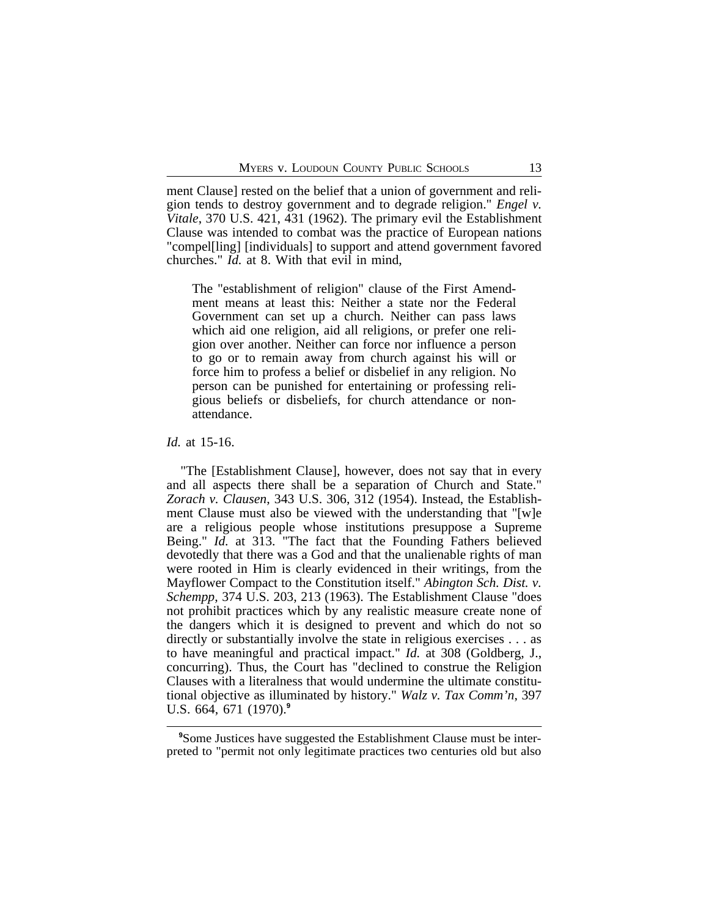ment Clause] rested on the belief that a union of government and religion tends to destroy government and to degrade religion." *Engel v. Vitale*, 370 U.S. 421, 431 (1962). The primary evil the Establishment Clause was intended to combat was the practice of European nations "compel[ling] [individuals] to support and attend government favored churches." *Id.* at 8. With that evil in mind,

The "establishment of religion" clause of the First Amendment means at least this: Neither a state nor the Federal Government can set up a church. Neither can pass laws which aid one religion, aid all religions, or prefer one religion over another. Neither can force nor influence a person to go or to remain away from church against his will or force him to profess a belief or disbelief in any religion. No person can be punished for entertaining or professing religious beliefs or disbeliefs, for church attendance or nonattendance.

*Id.* at 15-16.

"The [Establishment Clause], however, does not say that in every and all aspects there shall be a separation of Church and State." *Zorach v. Clausen*, 343 U.S. 306, 312 (1954). Instead, the Establishment Clause must also be viewed with the understanding that "[w]e are a religious people whose institutions presuppose a Supreme Being." *Id.* at 313. "The fact that the Founding Fathers believed devotedly that there was a God and that the unalienable rights of man were rooted in Him is clearly evidenced in their writings, from the Mayflower Compact to the Constitution itself." *Abington Sch. Dist. v. Schempp*, 374 U.S. 203, 213 (1963). The Establishment Clause "does not prohibit practices which by any realistic measure create none of the dangers which it is designed to prevent and which do not so directly or substantially involve the state in religious exercises . . . as to have meaningful and practical impact." *Id.* at 308 (Goldberg, J., concurring). Thus, the Court has "declined to construe the Religion Clauses with a literalness that would undermine the ultimate constitutional objective as illuminated by history." *Walz v. Tax Comm'n*, 397 U.S. 664, 671 (1970).**<sup>9</sup>**

<sup>&</sup>lt;sup>9</sup>Some Justices have suggested the Establishment Clause must be interpreted to "permit not only legitimate practices two centuries old but also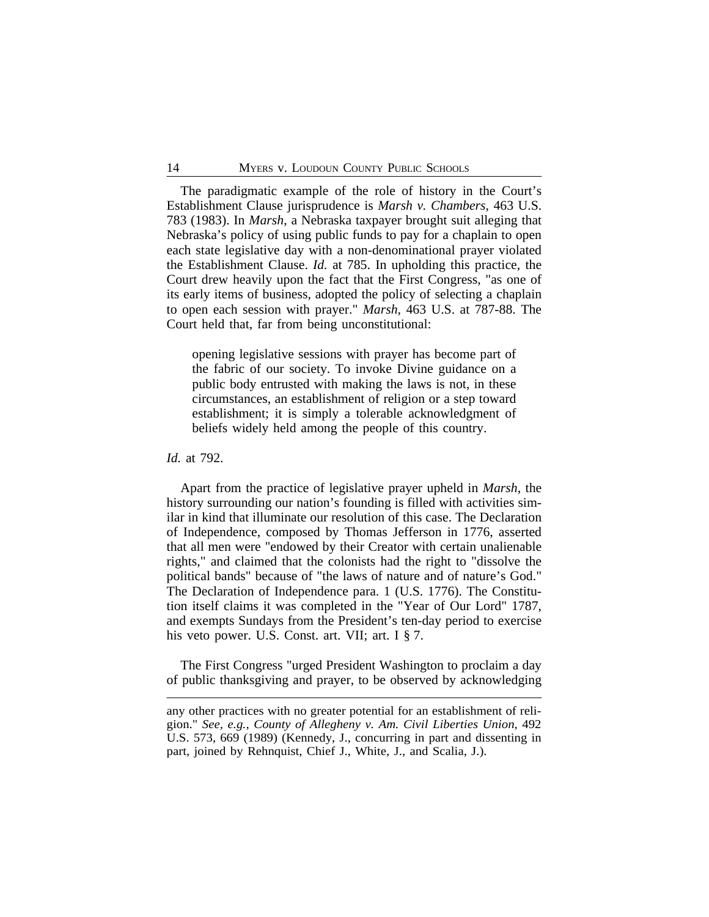The paradigmatic example of the role of history in the Court's Establishment Clause jurisprudence is *Marsh v. Chambers*, 463 U.S. 783 (1983). In *Marsh*, a Nebraska taxpayer brought suit alleging that Nebraska's policy of using public funds to pay for a chaplain to open each state legislative day with a non-denominational prayer violated the Establishment Clause. *Id.* at 785. In upholding this practice, the Court drew heavily upon the fact that the First Congress, "as one of its early items of business, adopted the policy of selecting a chaplain to open each session with prayer." *Marsh*, 463 U.S. at 787-88. The Court held that, far from being unconstitutional:

opening legislative sessions with prayer has become part of the fabric of our society. To invoke Divine guidance on a public body entrusted with making the laws is not, in these circumstances, an establishment of religion or a step toward establishment; it is simply a tolerable acknowledgment of beliefs widely held among the people of this country.

#### *Id.* at 792.

Apart from the practice of legislative prayer upheld in *Marsh*, the history surrounding our nation's founding is filled with activities similar in kind that illuminate our resolution of this case. The Declaration of Independence, composed by Thomas Jefferson in 1776, asserted that all men were "endowed by their Creator with certain unalienable rights," and claimed that the colonists had the right to "dissolve the political bands" because of "the laws of nature and of nature's God." The Declaration of Independence para. 1 (U.S. 1776). The Constitution itself claims it was completed in the "Year of Our Lord" 1787, and exempts Sundays from the President's ten-day period to exercise his veto power. U.S. Const. art. VII; art. I § 7.

The First Congress "urged President Washington to proclaim a day of public thanksgiving and prayer, to be observed by acknowledging

any other practices with no greater potential for an establishment of religion." *See, e.g., County of Allegheny v. Am. Civil Liberties Union*, 492 U.S. 573, 669 (1989) (Kennedy, J., concurring in part and dissenting in part, joined by Rehnquist, Chief J., White, J., and Scalia, J.).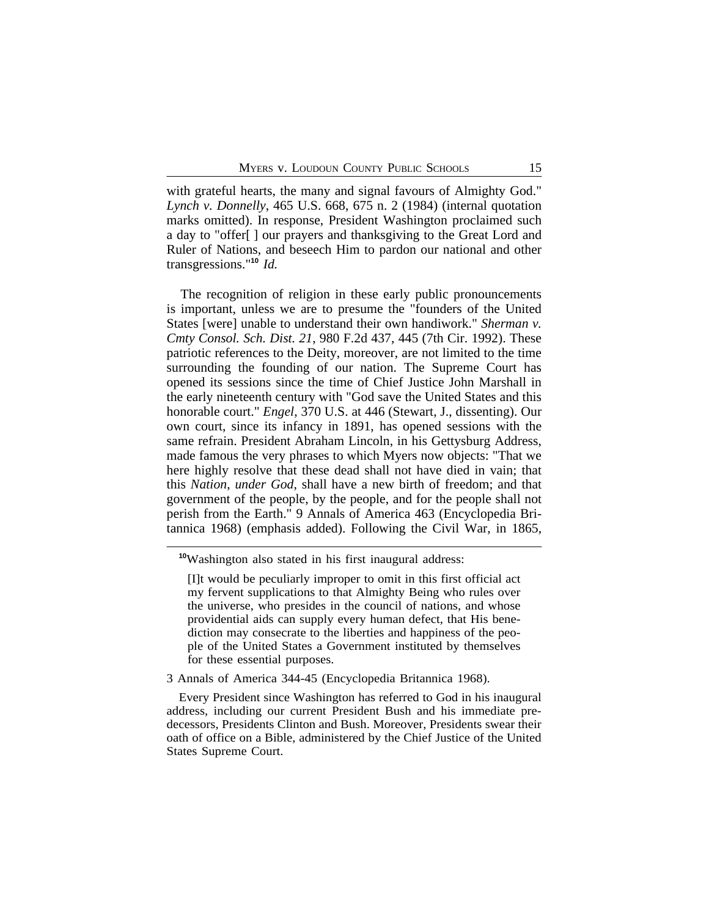with grateful hearts, the many and signal favours of Almighty God." *Lynch v. Donnelly*, 465 U.S. 668, 675 n. 2 (1984) (internal quotation marks omitted). In response, President Washington proclaimed such a day to "offer[ ] our prayers and thanksgiving to the Great Lord and Ruler of Nations, and beseech Him to pardon our national and other transgressions."**<sup>10</sup>** *Id.*

The recognition of religion in these early public pronouncements is important, unless we are to presume the "founders of the United States [were] unable to understand their own handiwork." *Sherman v. Cmty Consol. Sch. Dist. 21*, 980 F.2d 437, 445 (7th Cir. 1992). These patriotic references to the Deity, moreover, are not limited to the time surrounding the founding of our nation. The Supreme Court has opened its sessions since the time of Chief Justice John Marshall in the early nineteenth century with "God save the United States and this honorable court." *Engel*, 370 U.S. at 446 (Stewart, J., dissenting). Our own court, since its infancy in 1891, has opened sessions with the same refrain. President Abraham Lincoln, in his Gettysburg Address, made famous the very phrases to which Myers now objects: "That we here highly resolve that these dead shall not have died in vain; that this *Nation*, *under God*, shall have a new birth of freedom; and that government of the people, by the people, and for the people shall not perish from the Earth." 9 Annals of America 463 (Encyclopedia Britannica 1968) (emphasis added). Following the Civil War, in 1865,

3 Annals of America 344-45 (Encyclopedia Britannica 1968).

Every President since Washington has referred to God in his inaugural address, including our current President Bush and his immediate predecessors, Presidents Clinton and Bush. Moreover, Presidents swear their oath of office on a Bible, administered by the Chief Justice of the United States Supreme Court.

**<sup>10</sup>**Washington also stated in his first inaugural address:

<sup>[</sup>I]t would be peculiarly improper to omit in this first official act my fervent supplications to that Almighty Being who rules over the universe, who presides in the council of nations, and whose providential aids can supply every human defect, that His benediction may consecrate to the liberties and happiness of the people of the United States a Government instituted by themselves for these essential purposes.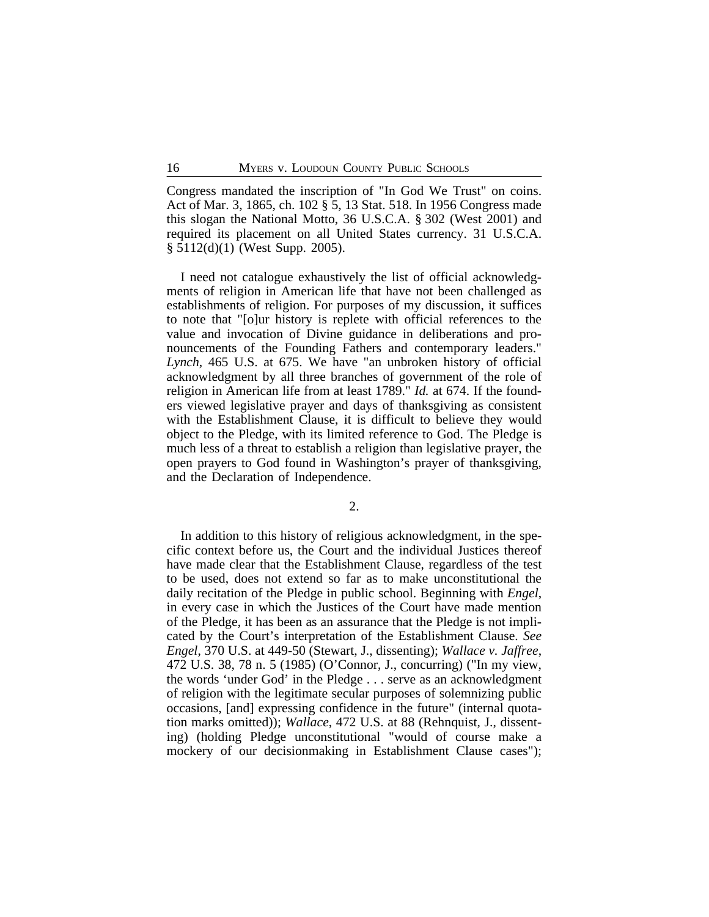Congress mandated the inscription of "In God We Trust" on coins. Act of Mar. 3, 1865, ch. 102 § 5, 13 Stat. 518. In 1956 Congress made this slogan the National Motto, 36 U.S.C.A. § 302 (West 2001) and required its placement on all United States currency. 31 U.S.C.A. § 5112(d)(1) (West Supp. 2005).

I need not catalogue exhaustively the list of official acknowledgments of religion in American life that have not been challenged as establishments of religion. For purposes of my discussion, it suffices to note that "[o]ur history is replete with official references to the value and invocation of Divine guidance in deliberations and pronouncements of the Founding Fathers and contemporary leaders." *Lynch*, 465 U.S. at 675. We have "an unbroken history of official acknowledgment by all three branches of government of the role of religion in American life from at least 1789." *Id.* at 674. If the founders viewed legislative prayer and days of thanksgiving as consistent with the Establishment Clause, it is difficult to believe they would object to the Pledge, with its limited reference to God. The Pledge is much less of a threat to establish a religion than legislative prayer, the open prayers to God found in Washington's prayer of thanksgiving, and the Declaration of Independence.

2.

In addition to this history of religious acknowledgment, in the specific context before us, the Court and the individual Justices thereof have made clear that the Establishment Clause, regardless of the test to be used, does not extend so far as to make unconstitutional the daily recitation of the Pledge in public school. Beginning with *Engel*, in every case in which the Justices of the Court have made mention of the Pledge, it has been as an assurance that the Pledge is not implicated by the Court's interpretation of the Establishment Clause. *See Engel*, 370 U.S. at 449-50 (Stewart, J., dissenting); *Wallace v. Jaffree*, 472 U.S. 38, 78 n. 5 (1985) (O'Connor, J., concurring) ("In my view, the words 'under God' in the Pledge . . . serve as an acknowledgment of religion with the legitimate secular purposes of solemnizing public occasions, [and] expressing confidence in the future" (internal quotation marks omitted)); *Wallace*, 472 U.S. at 88 (Rehnquist, J., dissenting) (holding Pledge unconstitutional "would of course make a mockery of our decisionmaking in Establishment Clause cases");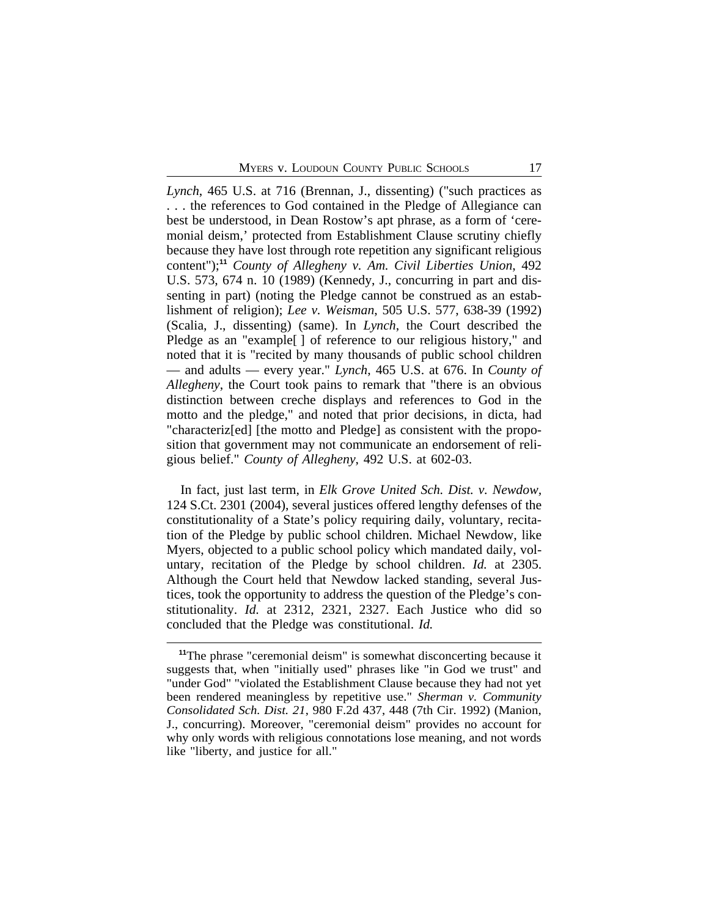*Lynch*, 465 U.S. at 716 (Brennan, J., dissenting) ("such practices as . . . the references to God contained in the Pledge of Allegiance can best be understood, in Dean Rostow's apt phrase, as a form of 'ceremonial deism,' protected from Establishment Clause scrutiny chiefly because they have lost through rote repetition any significant religious content");**<sup>11</sup>** *County of Allegheny v. Am. Civil Liberties Union*, 492 U.S. 573, 674 n. 10 (1989) (Kennedy, J., concurring in part and dissenting in part) (noting the Pledge cannot be construed as an establishment of religion); *Lee v. Weisman*, 505 U.S. 577, 638-39 (1992) (Scalia, J., dissenting) (same). In *Lynch*, the Court described the Pledge as an "example[ ] of reference to our religious history," and noted that it is "recited by many thousands of public school children — and adults — every year." *Lynch*, 465 U.S. at 676. In *County of Allegheny*, the Court took pains to remark that "there is an obvious distinction between creche displays and references to God in the motto and the pledge," and noted that prior decisions, in dicta, had "characteriz[ed] [the motto and Pledge] as consistent with the proposition that government may not communicate an endorsement of religious belief." *County of Allegheny*, 492 U.S. at 602-03.

In fact, just last term, in *Elk Grove United Sch. Dist. v. Newdow,* 124 S.Ct. 2301 (2004), several justices offered lengthy defenses of the constitutionality of a State's policy requiring daily, voluntary, recitation of the Pledge by public school children. Michael Newdow, like Myers, objected to a public school policy which mandated daily, voluntary, recitation of the Pledge by school children. *Id.* at 2305. Although the Court held that Newdow lacked standing, several Justices, took the opportunity to address the question of the Pledge's constitutionality. *Id.* at 2312, 2321, 2327. Each Justice who did so concluded that the Pledge was constitutional. *Id.*

**<sup>11</sup>**The phrase "ceremonial deism" is somewhat disconcerting because it suggests that, when "initially used" phrases like "in God we trust" and "under God" "violated the Establishment Clause because they had not yet been rendered meaningless by repetitive use." *Sherman v. Community Consolidated Sch. Dist. 21*, 980 F.2d 437, 448 (7th Cir. 1992) (Manion, J., concurring). Moreover, "ceremonial deism" provides no account for why only words with religious connotations lose meaning, and not words like "liberty, and justice for all."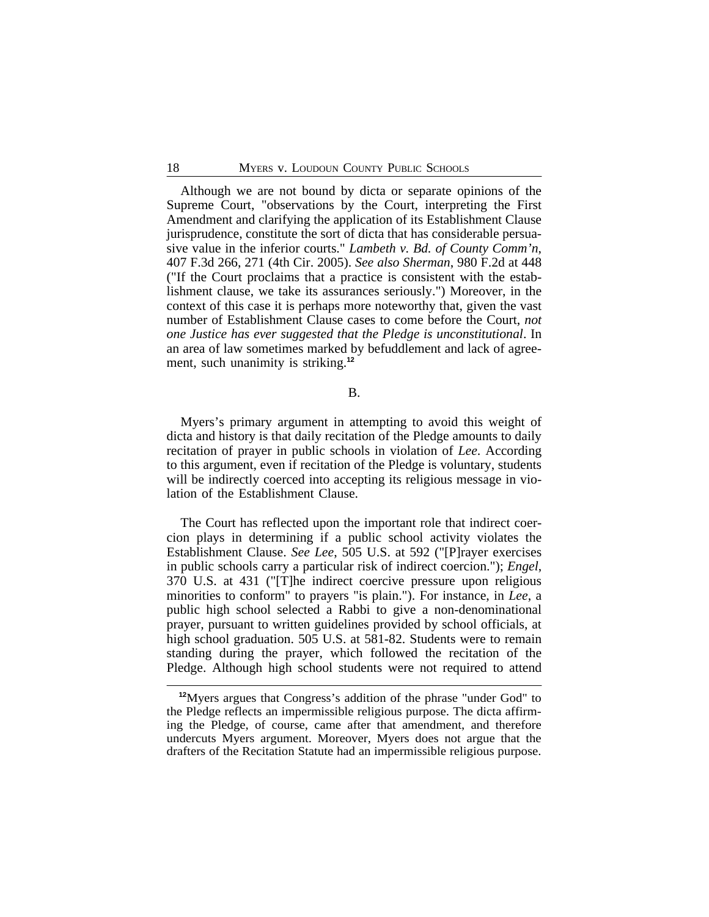Although we are not bound by dicta or separate opinions of the Supreme Court, "observations by the Court, interpreting the First Amendment and clarifying the application of its Establishment Clause jurisprudence, constitute the sort of dicta that has considerable persuasive value in the inferior courts." *Lambeth v. Bd. of County Comm'n*, 407 F.3d 266, 271 (4th Cir. 2005). *See also Sherman*, 980 F.2d at 448 ("If the Court proclaims that a practice is consistent with the establishment clause, we take its assurances seriously.") Moreover, in the context of this case it is perhaps more noteworthy that, given the vast number of Establishment Clause cases to come before the Court, *not one Justice has ever suggested that the Pledge is unconstitutional*. In an area of law sometimes marked by befuddlement and lack of agreement, such unanimity is striking.**<sup>12</sup>**

# B.

Myers's primary argument in attempting to avoid this weight of dicta and history is that daily recitation of the Pledge amounts to daily recitation of prayer in public schools in violation of *Lee*. According to this argument, even if recitation of the Pledge is voluntary, students will be indirectly coerced into accepting its religious message in violation of the Establishment Clause.

The Court has reflected upon the important role that indirect coercion plays in determining if a public school activity violates the Establishment Clause. *See Lee*, 505 U.S. at 592 ("[P]rayer exercises in public schools carry a particular risk of indirect coercion."); *Engel*, 370 U.S. at 431 ("[T]he indirect coercive pressure upon religious minorities to conform" to prayers "is plain."). For instance, in *Lee*, a public high school selected a Rabbi to give a non-denominational prayer, pursuant to written guidelines provided by school officials, at high school graduation. 505 U.S. at 581-82. Students were to remain standing during the prayer, which followed the recitation of the Pledge. Although high school students were not required to attend

**<sup>12</sup>**Myers argues that Congress's addition of the phrase "under God" to the Pledge reflects an impermissible religious purpose. The dicta affirming the Pledge, of course, came after that amendment, and therefore undercuts Myers argument. Moreover, Myers does not argue that the drafters of the Recitation Statute had an impermissible religious purpose.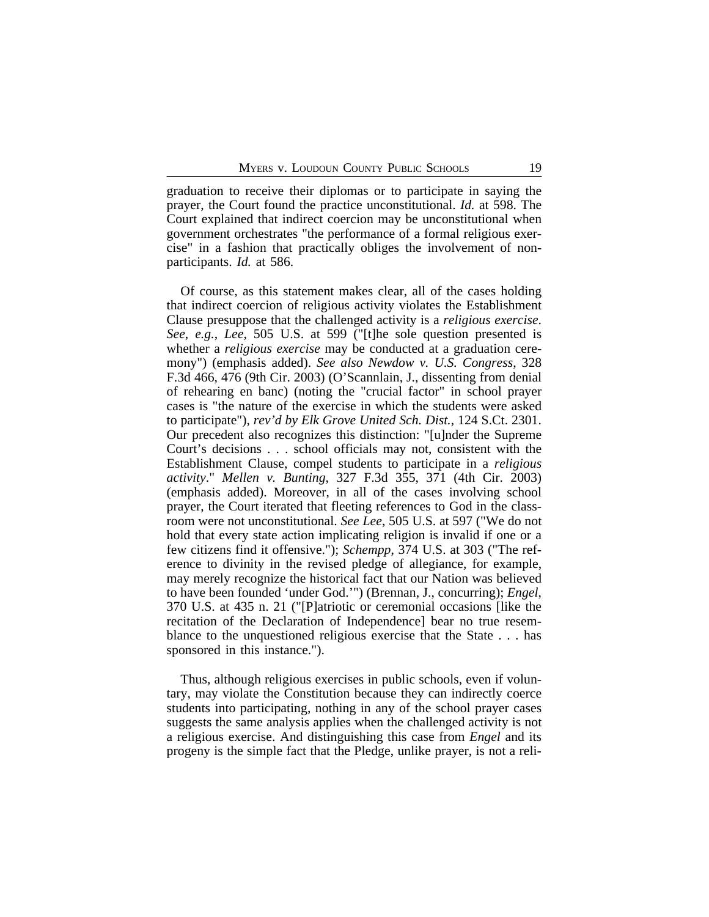graduation to receive their diplomas or to participate in saying the prayer, the Court found the practice unconstitutional. *Id.* at 598. The Court explained that indirect coercion may be unconstitutional when government orchestrates "the performance of a formal religious exercise" in a fashion that practically obliges the involvement of nonparticipants. *Id.* at 586.

Of course, as this statement makes clear, all of the cases holding that indirect coercion of religious activity violates the Establishment Clause presuppose that the challenged activity is a *religious exercise*. *See*, *e.g.*, *Lee*, 505 U.S. at 599 ("[t]he sole question presented is whether a *religious exercise* may be conducted at a graduation ceremony") (emphasis added). *See also Newdow v. U.S. Congress*, 328 F.3d 466, 476 (9th Cir. 2003) (O'Scannlain, J., dissenting from denial of rehearing en banc) (noting the "crucial factor" in school prayer cases is "the nature of the exercise in which the students were asked to participate"), *rev'd by Elk Grove United Sch. Dist.*, 124 S.Ct. 2301. Our precedent also recognizes this distinction: "[u]nder the Supreme Court's decisions . . . school officials may not, consistent with the Establishment Clause, compel students to participate in a *religious activity*." *Mellen v. Bunting*, 327 F.3d 355, 371 (4th Cir. 2003) (emphasis added). Moreover, in all of the cases involving school prayer, the Court iterated that fleeting references to God in the classroom were not unconstitutional. *See Lee*, 505 U.S. at 597 ("We do not hold that every state action implicating religion is invalid if one or a few citizens find it offensive."); *Schempp*, 374 U.S. at 303 ("The reference to divinity in the revised pledge of allegiance, for example, may merely recognize the historical fact that our Nation was believed to have been founded 'under God.'") (Brennan, J., concurring); *Engel*, 370 U.S. at 435 n. 21 ("[P]atriotic or ceremonial occasions [like the recitation of the Declaration of Independence] bear no true resemblance to the unquestioned religious exercise that the State . . . has sponsored in this instance.").

Thus, although religious exercises in public schools, even if voluntary, may violate the Constitution because they can indirectly coerce students into participating, nothing in any of the school prayer cases suggests the same analysis applies when the challenged activity is not a religious exercise. And distinguishing this case from *Engel* and its progeny is the simple fact that the Pledge, unlike prayer, is not a reli-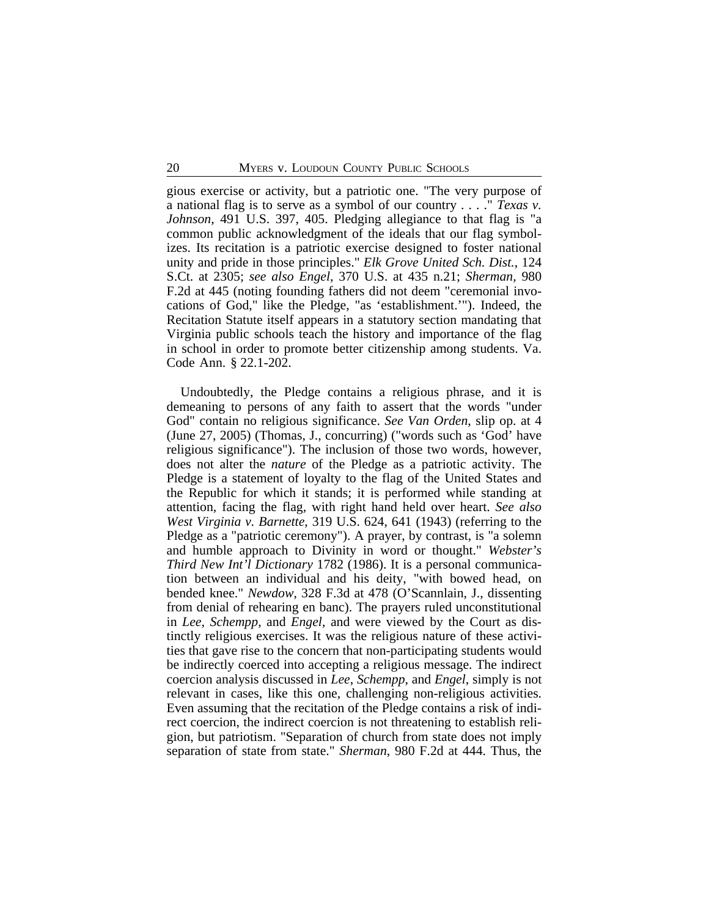gious exercise or activity, but a patriotic one. "The very purpose of a national flag is to serve as a symbol of our country . . . ." *Texas v. Johnson*, 491 U.S. 397, 405. Pledging allegiance to that flag is "a common public acknowledgment of the ideals that our flag symbolizes. Its recitation is a patriotic exercise designed to foster national unity and pride in those principles." *Elk Grove United Sch. Dist.*, 124 S.Ct. at 2305; *see also Engel*, 370 U.S. at 435 n.21; *Sherman*, 980 F.2d at 445 (noting founding fathers did not deem "ceremonial invocations of God," like the Pledge, "as 'establishment.'"). Indeed, the Recitation Statute itself appears in a statutory section mandating that Virginia public schools teach the history and importance of the flag in school in order to promote better citizenship among students. Va. Code Ann. § 22.1-202.

Undoubtedly, the Pledge contains a religious phrase, and it is demeaning to persons of any faith to assert that the words "under God" contain no religious significance. *See Van Orden*, slip op. at 4 (June 27, 2005) (Thomas, J., concurring) ("words such as 'God' have religious significance"). The inclusion of those two words, however, does not alter the *nature* of the Pledge as a patriotic activity. The Pledge is a statement of loyalty to the flag of the United States and the Republic for which it stands; it is performed while standing at attention, facing the flag, with right hand held over heart. *See also West Virginia v. Barnette*, 319 U.S. 624, 641 (1943) (referring to the Pledge as a "patriotic ceremony"). A prayer, by contrast, is "a solemn and humble approach to Divinity in word or thought." *Webster's Third New Int'l Dictionary* 1782 (1986). It is a personal communication between an individual and his deity, "with bowed head, on bended knee." *Newdow*, 328 F.3d at 478 (O'Scannlain, J., dissenting from denial of rehearing en banc). The prayers ruled unconstitutional in *Lee*, *Schempp*, and *Engel*, and were viewed by the Court as distinctly religious exercises. It was the religious nature of these activities that gave rise to the concern that non-participating students would be indirectly coerced into accepting a religious message. The indirect coercion analysis discussed in *Lee*, *Schempp*, and *Engel*, simply is not relevant in cases, like this one, challenging non-religious activities. Even assuming that the recitation of the Pledge contains a risk of indirect coercion, the indirect coercion is not threatening to establish religion, but patriotism. "Separation of church from state does not imply separation of state from state." *Sherman*, 980 F.2d at 444. Thus, the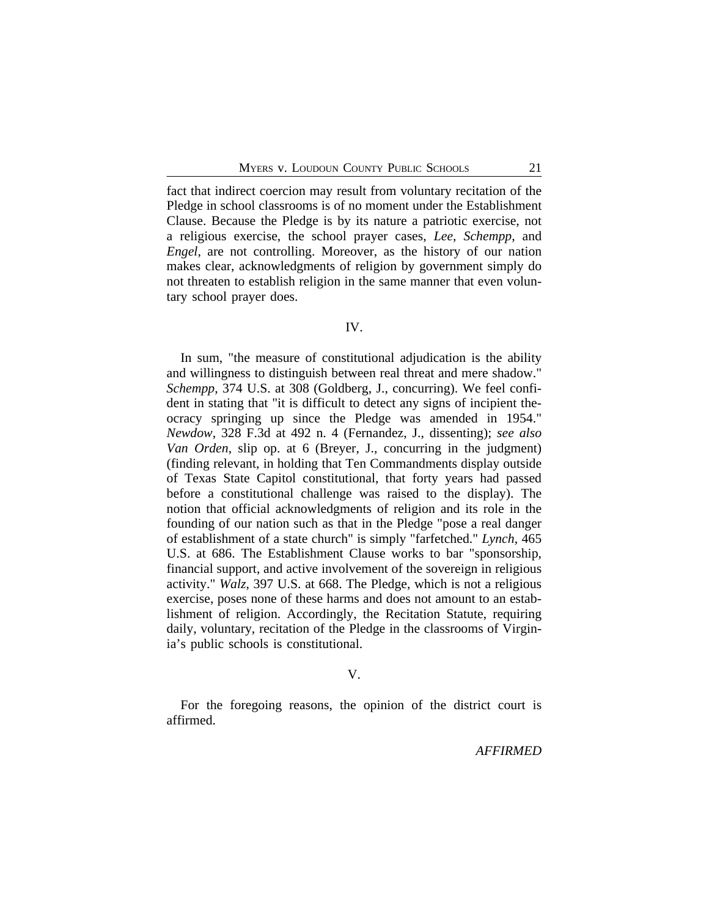fact that indirect coercion may result from voluntary recitation of the Pledge in school classrooms is of no moment under the Establishment Clause. Because the Pledge is by its nature a patriotic exercise, not a religious exercise, the school prayer cases, *Lee*, *Schempp*, and *Engel*, are not controlling. Moreover, as the history of our nation makes clear, acknowledgments of religion by government simply do not threaten to establish religion in the same manner that even voluntary school prayer does.

# IV.

In sum, "the measure of constitutional adjudication is the ability and willingness to distinguish between real threat and mere shadow." *Schempp*, 374 U.S. at 308 (Goldberg, J., concurring). We feel confident in stating that "it is difficult to detect any signs of incipient theocracy springing up since the Pledge was amended in 1954." *Newdow*, 328 F.3d at 492 n. 4 (Fernandez, J., dissenting); *see also Van Orden*, slip op. at 6 (Breyer, J., concurring in the judgment) (finding relevant, in holding that Ten Commandments display outside of Texas State Capitol constitutional, that forty years had passed before a constitutional challenge was raised to the display). The notion that official acknowledgments of religion and its role in the founding of our nation such as that in the Pledge "pose a real danger of establishment of a state church" is simply "farfetched." *Lynch*, 465 U.S. at 686. The Establishment Clause works to bar "sponsorship, financial support, and active involvement of the sovereign in religious activity." *Walz*, 397 U.S. at 668. The Pledge, which is not a religious exercise, poses none of these harms and does not amount to an establishment of religion. Accordingly, the Recitation Statute, requiring daily, voluntary, recitation of the Pledge in the classrooms of Virginia's public schools is constitutional.

#### V.

For the foregoing reasons, the opinion of the district court is affirmed.

*AFFIRMED*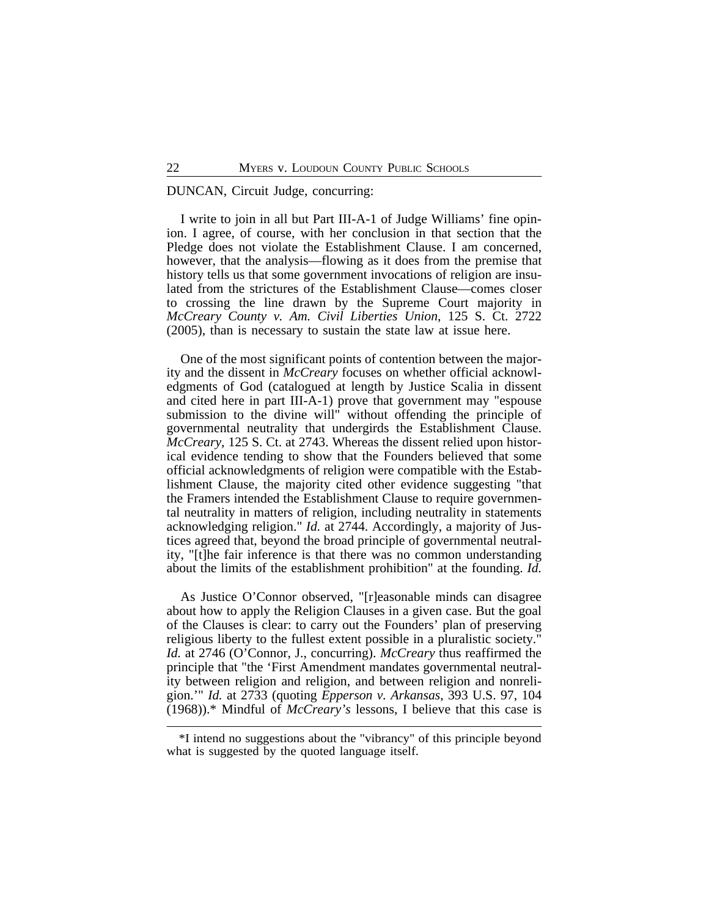# DUNCAN, Circuit Judge, concurring:

I write to join in all but Part III-A-1 of Judge Williams' fine opinion. I agree, of course, with her conclusion in that section that the Pledge does not violate the Establishment Clause. I am concerned, however, that the analysis—flowing as it does from the premise that history tells us that some government invocations of religion are insulated from the strictures of the Establishment Clause—comes closer to crossing the line drawn by the Supreme Court majority in *McCreary County v. Am. Civil Liberties Union*, 125 S. Ct. 2722 (2005), than is necessary to sustain the state law at issue here.

One of the most significant points of contention between the majority and the dissent in *McCreary* focuses on whether official acknowledgments of God (catalogued at length by Justice Scalia in dissent and cited here in part III-A-1) prove that government may "espouse submission to the divine will" without offending the principle of governmental neutrality that undergirds the Establishment Clause. *McCreary*, 125 S. Ct. at 2743. Whereas the dissent relied upon historical evidence tending to show that the Founders believed that some official acknowledgments of religion were compatible with the Establishment Clause, the majority cited other evidence suggesting "that the Framers intended the Establishment Clause to require governmental neutrality in matters of religion, including neutrality in statements acknowledging religion." *Id.* at 2744. Accordingly, a majority of Justices agreed that, beyond the broad principle of governmental neutrality, "[t]he fair inference is that there was no common understanding about the limits of the establishment prohibition" at the founding. *Id.*

As Justice O'Connor observed, "[r]easonable minds can disagree about how to apply the Religion Clauses in a given case. But the goal of the Clauses is clear: to carry out the Founders' plan of preserving religious liberty to the fullest extent possible in a pluralistic society." *Id.* at 2746 (O'Connor, J., concurring). *McCreary* thus reaffirmed the principle that "the 'First Amendment mandates governmental neutrality between religion and religion, and between religion and nonreligion.'" *Id.* at 2733 (quoting *Epperson v. Arkansas*, 393 U.S. 97, 104 (1968)).\* Mindful of *McCreary's* lessons, I believe that this case is

<sup>\*</sup>I intend no suggestions about the "vibrancy" of this principle beyond what is suggested by the quoted language itself.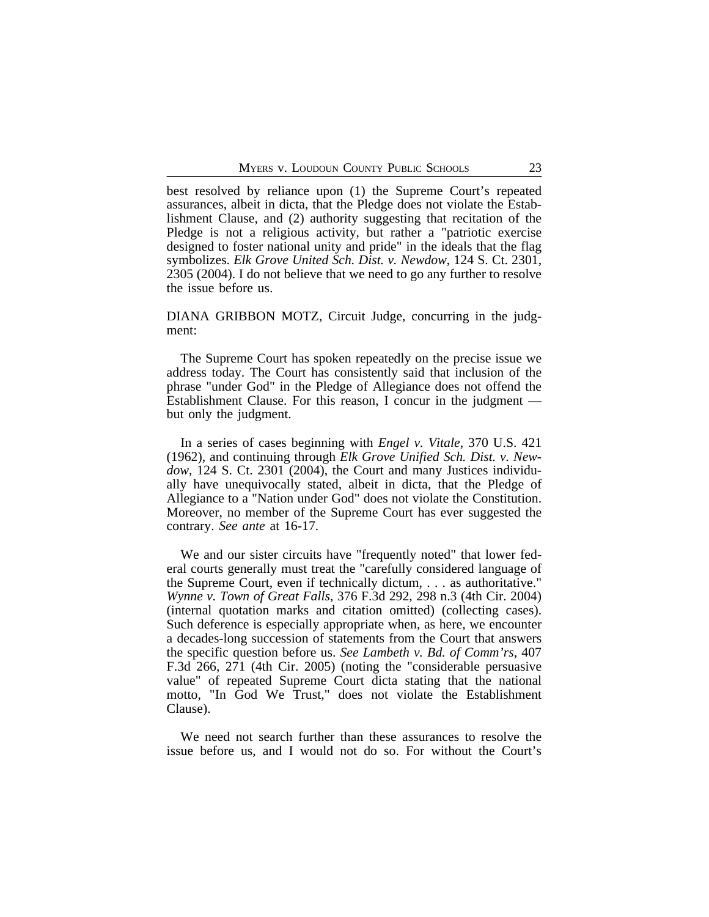best resolved by reliance upon (1) the Supreme Court's repeated assurances, albeit in dicta, that the Pledge does not violate the Establishment Clause, and (2) authority suggesting that recitation of the Pledge is not a religious activity, but rather a "patriotic exercise designed to foster national unity and pride" in the ideals that the flag symbolizes. *Elk Grove United Sch. Dist. v. Newdow*, 124 S. Ct. 2301, 2305 (2004). I do not believe that we need to go any further to resolve the issue before us.

DIANA GRIBBON MOTZ, Circuit Judge, concurring in the judgment:

The Supreme Court has spoken repeatedly on the precise issue we address today. The Court has consistently said that inclusion of the phrase "under God" in the Pledge of Allegiance does not offend the Establishment Clause. For this reason, I concur in the judgment but only the judgment.

In a series of cases beginning with *Engel v. Vitale*, 370 U.S. 421 (1962), and continuing through *Elk Grove Unified Sch. Dist. v. Newdow*, 124 S. Ct. 2301 (2004), the Court and many Justices individually have unequivocally stated, albeit in dicta, that the Pledge of Allegiance to a "Nation under God" does not violate the Constitution. Moreover, no member of the Supreme Court has ever suggested the contrary. *See ante* at 16-17.

We and our sister circuits have "frequently noted" that lower federal courts generally must treat the "carefully considered language of the Supreme Court, even if technically dictum, . . . as authoritative." *Wynne v. Town of Great Falls*, 376 F.3d 292, 298 n.3 (4th Cir. 2004) (internal quotation marks and citation omitted) (collecting cases). Such deference is especially appropriate when, as here, we encounter a decades-long succession of statements from the Court that answers the specific question before us. *See Lambeth v. Bd. of Comm'rs*, 407 F.3d 266, 271 (4th Cir. 2005) (noting the "considerable persuasive value" of repeated Supreme Court dicta stating that the national motto, "In God We Trust," does not violate the Establishment Clause).

We need not search further than these assurances to resolve the issue before us, and I would not do so. For without the Court's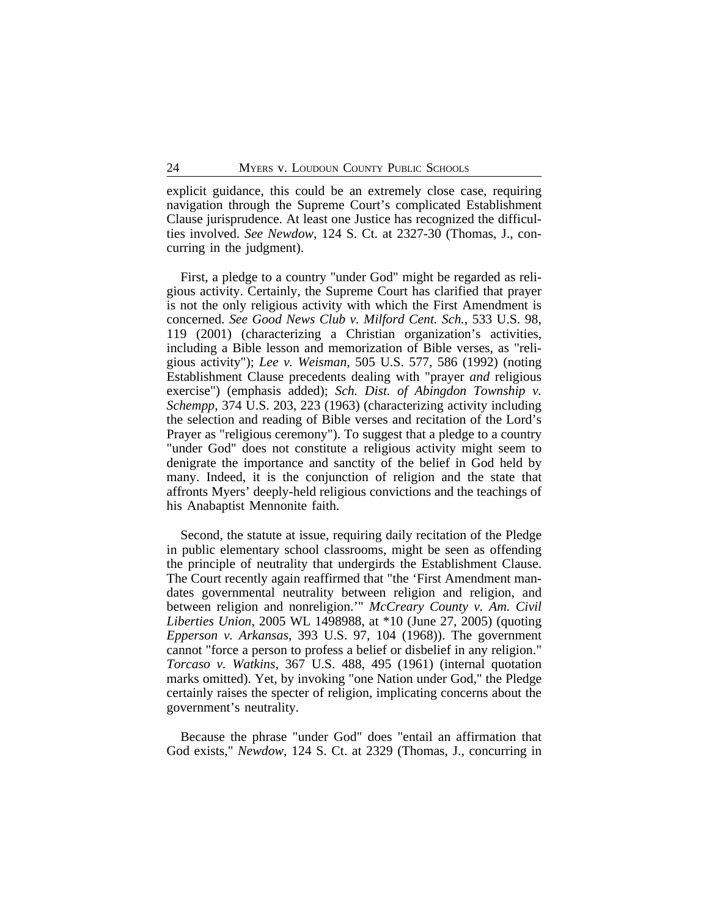explicit guidance, this could be an extremely close case, requiring navigation through the Supreme Court's complicated Establishment Clause jurisprudence. At least one Justice has recognized the difficulties involved. *See Newdow*, 124 S. Ct. at 2327-30 (Thomas, J., concurring in the judgment).

First, a pledge to a country "under God" might be regarded as religious activity. Certainly, the Supreme Court has clarified that prayer is not the only religious activity with which the First Amendment is concerned. *See Good News Club v. Milford Cent. Sch.*, 533 U.S. 98, 119 (2001) (characterizing a Christian organization's activities, including a Bible lesson and memorization of Bible verses, as "religious activity"); *Lee v. Weisman*, 505 U.S. 577, 586 (1992) (noting Establishment Clause precedents dealing with "prayer *and* religious exercise") (emphasis added); *Sch. Dist. of Abingdon Township v. Schempp*, 374 U.S. 203, 223 (1963) (characterizing activity including the selection and reading of Bible verses and recitation of the Lord's Prayer as "religious ceremony"). To suggest that a pledge to a country "under God" does not constitute a religious activity might seem to denigrate the importance and sanctity of the belief in God held by many. Indeed, it is the conjunction of religion and the state that affronts Myers' deeply-held religious convictions and the teachings of his Anabaptist Mennonite faith.

Second, the statute at issue, requiring daily recitation of the Pledge in public elementary school classrooms, might be seen as offending the principle of neutrality that undergirds the Establishment Clause. The Court recently again reaffirmed that "the 'First Amendment mandates governmental neutrality between religion and religion, and between religion and nonreligion.'" *McCreary County v. Am. Civil Liberties Union*, 2005 WL 1498988, at \*10 (June 27, 2005) (quoting *Epperson v. Arkansas*, 393 U.S. 97, 104 (1968)). The government cannot "force a person to profess a belief or disbelief in any religion." *Torcaso v. Watkins*, 367 U.S. 488, 495 (1961) (internal quotation marks omitted). Yet, by invoking "one Nation under God," the Pledge certainly raises the specter of religion, implicating concerns about the government's neutrality.

Because the phrase "under God" does "entail an affirmation that God exists," *Newdow*, 124 S. Ct. at 2329 (Thomas, J., concurring in